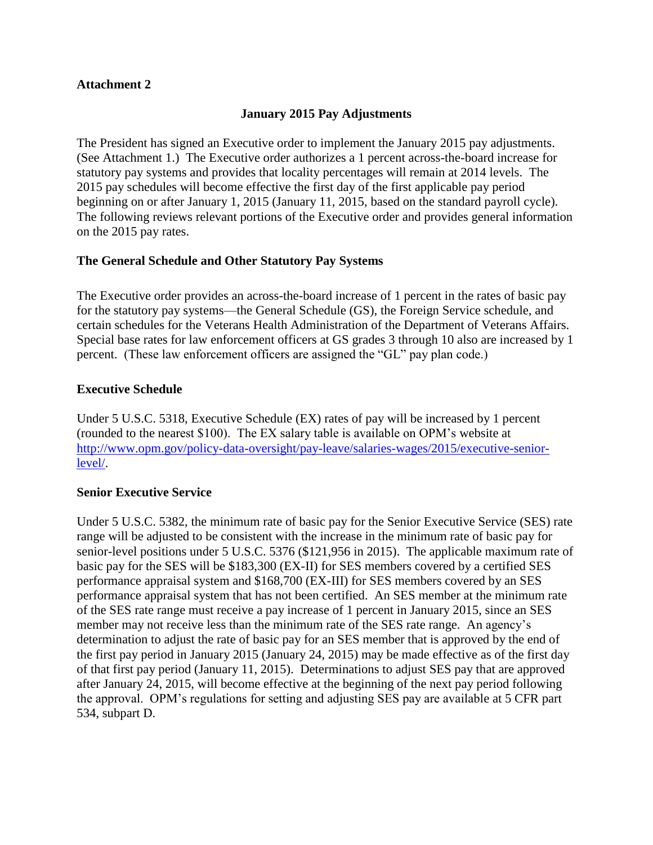# **Attachment 2**

# **January 2015 Pay Adjustments**

The President has signed an Executive order to implement the January 2015 pay adjustments. (See Attachment 1.) The Executive order authorizes a 1 percent across-the-board increase for statutory pay systems and provides that locality percentages will remain at 2014 levels. The 2015 pay schedules will become effective the first day of the first applicable pay period beginning on or after January 1, 2015 (January 11, 2015, based on the standard payroll cycle). The following reviews relevant portions of the Executive order and provides general information on the 2015 pay rates.

# **The General Schedule and Other Statutory Pay Systems**

The Executive order provides an across-the-board increase of 1 percent in the rates of basic pay for the statutory pay systems––the General Schedule (GS), the Foreign Service schedule, and certain schedules for the Veterans Health Administration of the Department of Veterans Affairs. Special base rates for law enforcement officers at GS grades 3 through 10 also are increased by 1 percent. (These law enforcement officers are assigned the "GL" pay plan code.)

# **Executive Schedule**

Under 5 U.S.C. 5318, Executive Schedule (EX) rates of pay will be increased by 1 percent (rounded to the nearest \$100). The EX salary table is available on OPM's website at [http://www.opm.gov/policy-data-oversight/pay-leave/salaries-wages/2015/executive-senior](http://www.opm.gov/policy-data-oversight/pay-leave/salaries-wages/2015/executive-senior-level/)[level/.](http://www.opm.gov/policy-data-oversight/pay-leave/salaries-wages/2015/executive-senior-level/)

## **Senior Executive Service**

Under 5 U.S.C. 5382, the minimum rate of basic pay for the Senior Executive Service (SES) rate range will be adjusted to be consistent with the increase in the minimum rate of basic pay for senior-level positions under 5 U.S.C. 5376 (\$121,956 in 2015). The applicable maximum rate of basic pay for the SES will be \$183,300 (EX-II) for SES members covered by a certified SES performance appraisal system and \$168,700 (EX-III) for SES members covered by an SES performance appraisal system that has not been certified. An SES member at the minimum rate of the SES rate range must receive a pay increase of 1 percent in January 2015, since an SES member may not receive less than the minimum rate of the SES rate range. An agency's determination to adjust the rate of basic pay for an SES member that is approved by the end of the first pay period in January 2015 (January 24, 2015) may be made effective as of the first day of that first pay period (January 11, 2015). Determinations to adjust SES pay that are approved after January 24, 2015, will become effective at the beginning of the next pay period following the approval. OPM's regulations for setting and adjusting SES pay are available at 5 CFR part 534, subpart D.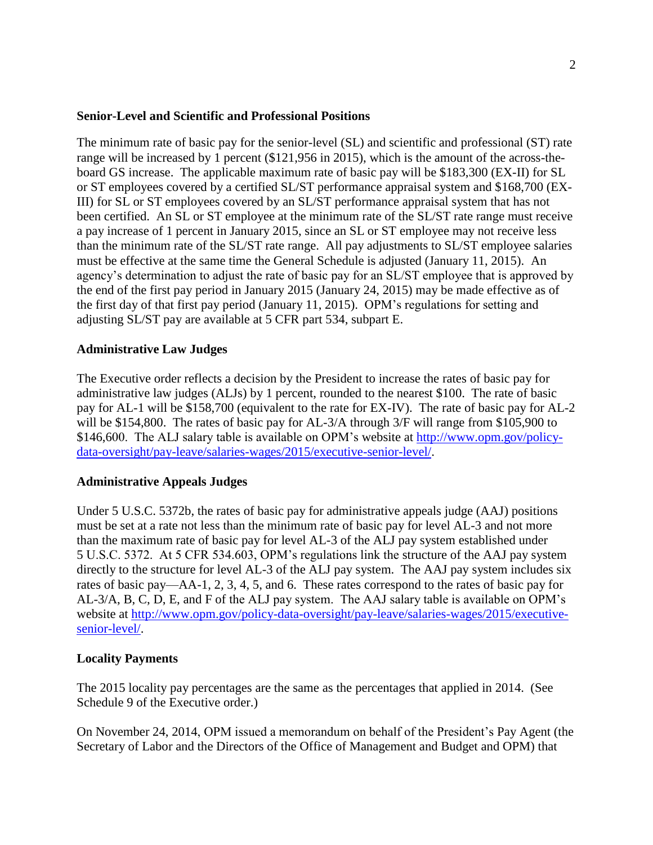### **Senior-Level and Scientific and Professional Positions**

The minimum rate of basic pay for the senior-level (SL) and scientific and professional (ST) rate range will be increased by 1 percent (\$121,956 in 2015), which is the amount of the across-theboard GS increase. The applicable maximum rate of basic pay will be \$183,300 (EX-II) for SL or ST employees covered by a certified SL/ST performance appraisal system and \$168,700 (EX-III) for SL or ST employees covered by an SL/ST performance appraisal system that has not been certified. An SL or ST employee at the minimum rate of the SL/ST rate range must receive a pay increase of 1 percent in January 2015, since an SL or ST employee may not receive less than the minimum rate of the SL/ST rate range. All pay adjustments to SL/ST employee salaries must be effective at the same time the General Schedule is adjusted (January 11, 2015). An agency's determination to adjust the rate of basic pay for an SL/ST employee that is approved by the end of the first pay period in January 2015 (January 24, 2015) may be made effective as of the first day of that first pay period (January 11, 2015). OPM's regulations for setting and adjusting SL/ST pay are available at 5 CFR part 534, subpart E.

### **Administrative Law Judges**

The Executive order reflects a decision by the President to increase the rates of basic pay for administrative law judges (ALJs) by 1 percent, rounded to the nearest \$100. The rate of basic pay for AL-1 will be \$158,700 (equivalent to the rate for EX-IV). The rate of basic pay for AL-2 will be \$154,800. The rates of basic pay for AL-3/A through 3/F will range from \$105,900 to \$146,600. The ALJ salary table is available on OPM's website at [http://www.opm.gov/policy](http://www.opm.gov/policy-data-oversight/pay-leave/salaries-wages/2015/executive-senior-level/)[data-oversight/pay-leave/salaries-wages/2015/executive-senior-level/.](http://www.opm.gov/policy-data-oversight/pay-leave/salaries-wages/2015/executive-senior-level/)

#### **Administrative Appeals Judges**

Under 5 U.S.C. 5372b, the rates of basic pay for administrative appeals judge (AAJ) positions must be set at a rate not less than the minimum rate of basic pay for level AL-3 and not more than the maximum rate of basic pay for level AL-3 of the ALJ pay system established under 5 U.S.C. 5372. At 5 CFR 534.603, OPM's regulations link the structure of the AAJ pay system directly to the structure for level AL-3 of the ALJ pay system. The AAJ pay system includes six rates of basic pay—AA-1, 2, 3, 4, 5, and 6. These rates correspond to the rates of basic pay for AL-3/A, B, C, D, E, and F of the ALJ pay system. The AAJ salary table is available on OPM's website at [http://www.opm.gov/policy-data-oversight/pay-leave/salaries-wages/2015/executive](http://www.opm.gov/policy-data-oversight/pay-leave/salaries-wages/2015/executive-senior-level/)[senior-level/.](http://www.opm.gov/policy-data-oversight/pay-leave/salaries-wages/2015/executive-senior-level/)

#### **Locality Payments**

The 2015 locality pay percentages are the same as the percentages that applied in 2014. (See Schedule 9 of the Executive order.)

On November 24, 2014, OPM issued a memorandum on behalf of the President's Pay Agent (the Secretary of Labor and the Directors of the Office of Management and Budget and OPM) that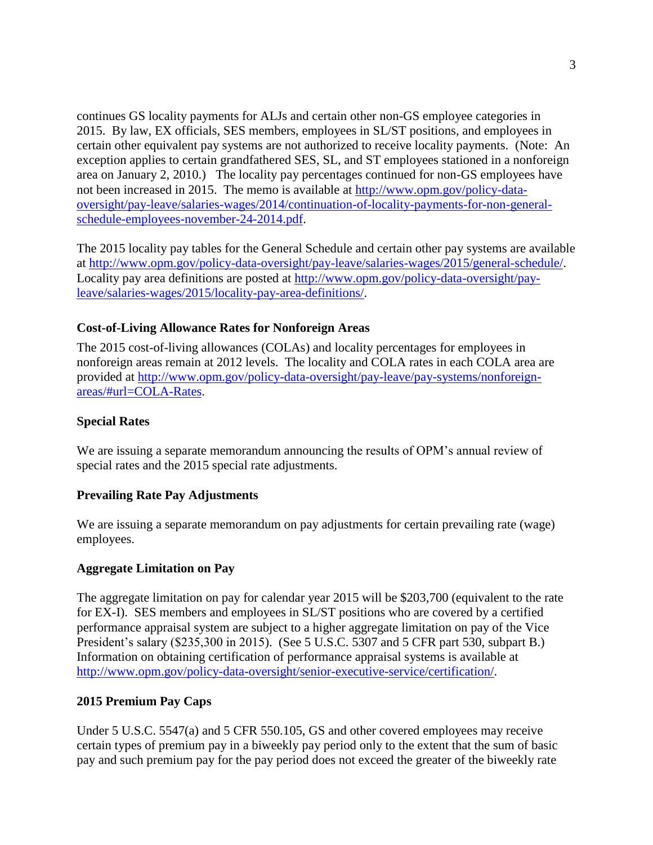continues GS locality payments for ALJs and certain other non-GS employee categories in 2015. By law, EX officials, SES members, employees in SL/ST positions, and employees in certain other equivalent pay systems are not authorized to receive locality payments. (Note: An exception applies to certain grandfathered SES, SL, and ST employees stationed in a nonforeign area on January 2, 2010.) The locality pay percentages continued for non-GS employees have not been increased in 2015. The memo is available at [http://www.opm.gov/policy-data](http://www.opm.gov/policy-data-oversight/pay-leave/salaries-wages/2014/continuation-of-locality-payments-for-non-general-schedule-employees-november-24-2014.pdf)[oversight/pay-leave/salaries-wages/2014/continuation-of-locality-payments-for-non-general](http://www.opm.gov/policy-data-oversight/pay-leave/salaries-wages/2014/continuation-of-locality-payments-for-non-general-schedule-employees-november-24-2014.pdf)[schedule-employees-november-24-2014.pdf.](http://www.opm.gov/policy-data-oversight/pay-leave/salaries-wages/2014/continuation-of-locality-payments-for-non-general-schedule-employees-november-24-2014.pdf)

The 2015 locality pay tables for the General Schedule and certain other pay systems are available at [http://www.opm.gov/policy-data-oversight/pay-leave/salaries-wages/2015/general-schedule/.](http://www.opm.gov/policy-data-oversight/pay-leave/salaries-wages/2015/general-schedule/) Locality pay area definitions are posted at [http://www.opm.gov/policy-data-oversight/pay](http://www.opm.gov/policy-data-oversight/pay-leave/salaries-wages/2015/locality-pay-area-definitions/)[leave/salaries-wages/2015/locality-pay-area-definitions/.](http://www.opm.gov/policy-data-oversight/pay-leave/salaries-wages/2015/locality-pay-area-definitions/)

# **Cost-of-Living Allowance Rates for Nonforeign Areas**

The 2015 cost-of-living allowances (COLAs) and locality percentages for employees in nonforeign areas remain at 2012 levels. The locality and COLA rates in each COLA area are provided at [http://www.opm.gov/policy-data-oversight/pay-leave/pay-systems/nonforeign](http://www.opm.gov/policy-data-oversight/pay-leave/pay-systems/nonforeign-areas/#url=COLA-Rates)[areas/#url=COLA-Rates.](http://www.opm.gov/policy-data-oversight/pay-leave/pay-systems/nonforeign-areas/#url=COLA-Rates)

### **Special Rates**

We are issuing a separate memorandum announcing the results of OPM's annual review of special rates and the 2015 special rate adjustments.

## **Prevailing Rate Pay Adjustments**

We are issuing a separate memorandum on pay adjustments for certain prevailing rate (wage) employees.

## **Aggregate Limitation on Pay**

The aggregate limitation on pay for calendar year 2015 will be \$203,700 (equivalent to the rate for EX-I). SES members and employees in SL/ST positions who are covered by a certified performance appraisal system are subject to a higher aggregate limitation on pay of the Vice President's salary (\$235,300 in 2015). (See 5 U.S.C. 5307 and 5 CFR part 530, subpart B.) Information on obtaining certification of performance appraisal systems is available at [http://www.opm.gov/policy-data-oversight/senior-executive-service/certification/.](http://www.opm.gov/policy-data-oversight/senior-executive-service/certification/)

## **2015 Premium Pay Caps**

Under 5 U.S.C. 5547(a) and 5 CFR 550.105, GS and other covered employees may receive certain types of premium pay in a biweekly pay period only to the extent that the sum of basic pay and such premium pay for the pay period does not exceed the greater of the biweekly rate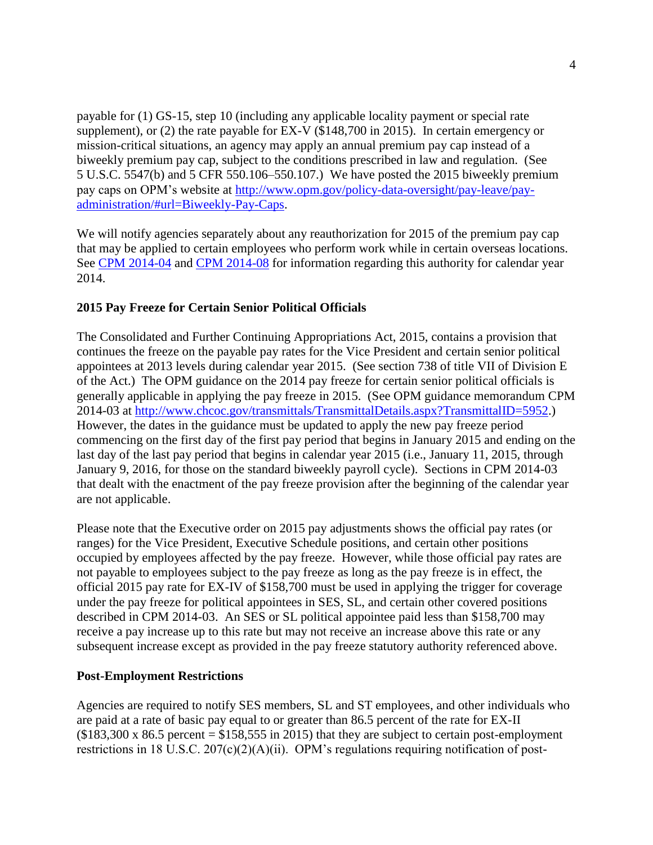payable for (1) GS-15, step 10 (including any applicable locality payment or special rate supplement), or (2) the rate payable for EX-V (\$148,700 in 2015). In certain emergency or mission-critical situations, an agency may apply an annual premium pay cap instead of a biweekly premium pay cap, subject to the conditions prescribed in law and regulation. (See 5 U.S.C. 5547(b) and 5 CFR 550.106–550.107.) We have posted the 2015 biweekly premium pay caps on OPM's website at [http://www.opm.gov/policy-data-oversight/pay-leave/pay](http://www.opm.gov/policy-data-oversight/pay-leave/pay-administration/#url=Biweekly-Pay-Caps)[administration/#url=Biweekly-Pay-Caps.](http://www.opm.gov/policy-data-oversight/pay-leave/pay-administration/#url=Biweekly-Pay-Caps)

We will notify agencies separately about any reauthorization for 2015 of the premium pay cap that may be applied to certain employees who perform work while in certain overseas locations. See [CPM 2014-04](http://www.chcoc.gov/transmittals/TransmittalDetails.aspx?TransmittalID=5975) and [CPM 2014-08](http://www.chcoc.gov/transmittals/TransmittalDetails.aspx?TransmittalID=6245) for information regarding this authority for calendar year 2014.

# **2015 Pay Freeze for Certain Senior Political Officials**

The Consolidated and Further Continuing Appropriations Act, 2015, contains a provision that continues the freeze on the payable pay rates for the Vice President and certain senior political appointees at 2013 levels during calendar year 2015. (See section 738 of title VII of Division E of the Act.) The OPM guidance on the 2014 pay freeze for certain senior political officials is generally applicable in applying the pay freeze in 2015. (See OPM guidance memorandum CPM 2014-03 at [http://www.chcoc.gov/transmittals/TransmittalDetails.aspx?TransmittalID=5952.](http://www.chcoc.gov/transmittals/TransmittalDetails.aspx?TransmittalID=5952)) However, the dates in the guidance must be updated to apply the new pay freeze period commencing on the first day of the first pay period that begins in January 2015 and ending on the last day of the last pay period that begins in calendar year 2015 (i.e., January 11, 2015, through January 9, 2016, for those on the standard biweekly payroll cycle). Sections in CPM 2014-03 that dealt with the enactment of the pay freeze provision after the beginning of the calendar year are not applicable.

Please note that the Executive order on 2015 pay adjustments shows the official pay rates (or ranges) for the Vice President, Executive Schedule positions, and certain other positions occupied by employees affected by the pay freeze. However, while those official pay rates are not payable to employees subject to the pay freeze as long as the pay freeze is in effect, the official 2015 pay rate for EX-IV of \$158,700 must be used in applying the trigger for coverage under the pay freeze for political appointees in SES, SL, and certain other covered positions described in CPM 2014-03. An SES or SL political appointee paid less than \$158,700 may receive a pay increase up to this rate but may not receive an increase above this rate or any subsequent increase except as provided in the pay freeze statutory authority referenced above.

#### **Post-Employment Restrictions**

Agencies are required to notify SES members, SL and ST employees, and other individuals who are paid at a rate of basic pay equal to or greater than 86.5 percent of the rate for EX-II  $($183,300 \times 86.5 \text{ percent} = $158,555 \text{ in } 2015)$  that they are subject to certain post-employment restrictions in 18 U.S.C. 207(c)(2)(A)(ii). OPM's regulations requiring notification of post